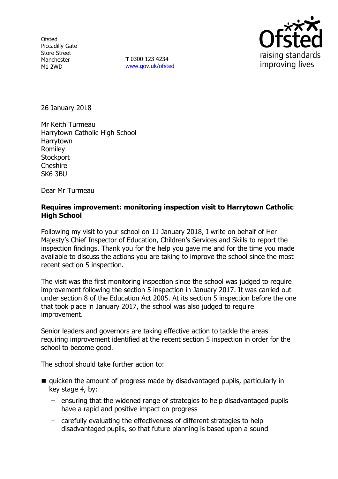**Ofsted** Piccadilly Gate Store Street Manchester M1 2WD

**T** 0300 123 4234 www.gov.uk/ofsted



26 January 2018

Mr Keith Turmeau Harrytown Catholic High School Harrytown Romiley **Stockport Cheshire** SK6 3BU

Dear Mr Turmeau

### **Requires improvement: monitoring inspection visit to Harrytown Catholic High School**

Following my visit to your school on 11 January 2018, I write on behalf of Her Majesty's Chief Inspector of Education, Children's Services and Skills to report the inspection findings. Thank you for the help you gave me and for the time you made available to discuss the actions you are taking to improve the school since the most recent section 5 inspection.

The visit was the first monitoring inspection since the school was judged to require improvement following the section 5 inspection in January 2017. It was carried out under section 8 of the Education Act 2005. At its section 5 inspection before the one that took place in January 2017, the school was also judged to require improvement.

Senior leaders and governors are taking effective action to tackle the areas requiring improvement identified at the recent section 5 inspection in order for the school to become good.

The school should take further action to:

- quicken the amount of progress made by disadvantaged pupils, particularly in key stage 4, by:
	- ensuring that the widened range of strategies to help disadvantaged pupils have a rapid and positive impact on progress
	- carefully evaluating the effectiveness of different strategies to help disadvantaged pupils, so that future planning is based upon a sound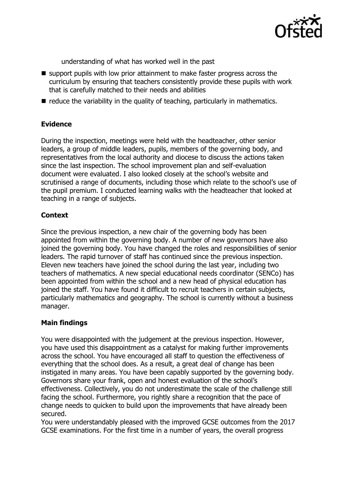

understanding of what has worked well in the past

- support pupils with low prior attainment to make faster progress across the curriculum by ensuring that teachers consistently provide these pupils with work that is carefully matched to their needs and abilities
- $\blacksquare$  reduce the variability in the quality of teaching, particularly in mathematics.

# **Evidence**

During the inspection, meetings were held with the headteacher, other senior leaders, a group of middle leaders, pupils, members of the governing body, and representatives from the local authority and diocese to discuss the actions taken since the last inspection. The school improvement plan and self-evaluation document were evaluated. I also looked closely at the school's website and scrutinised a range of documents, including those which relate to the school's use of the pupil premium. I conducted learning walks with the headteacher that looked at teaching in a range of subjects.

# **Context**

Since the previous inspection, a new chair of the governing body has been appointed from within the governing body. A number of new governors have also joined the governing body. You have changed the roles and responsibilities of senior leaders. The rapid turnover of staff has continued since the previous inspection. Eleven new teachers have joined the school during the last year, including two teachers of mathematics. A new special educational needs coordinator (SENCo) has been appointed from within the school and a new head of physical education has joined the staff. You have found it difficult to recruit teachers in certain subjects, particularly mathematics and geography. The school is currently without a business manager.

# **Main findings**

You were disappointed with the judgement at the previous inspection. However, you have used this disappointment as a catalyst for making further improvements across the school. You have encouraged all staff to question the effectiveness of everything that the school does. As a result, a great deal of change has been instigated in many areas. You have been capably supported by the governing body. Governors share your frank, open and honest evaluation of the school's effectiveness. Collectively, you do not underestimate the scale of the challenge still facing the school. Furthermore, you rightly share a recognition that the pace of change needs to quicken to build upon the improvements that have already been secured.

You were understandably pleased with the improved GCSE outcomes from the 2017 GCSE examinations. For the first time in a number of years, the overall progress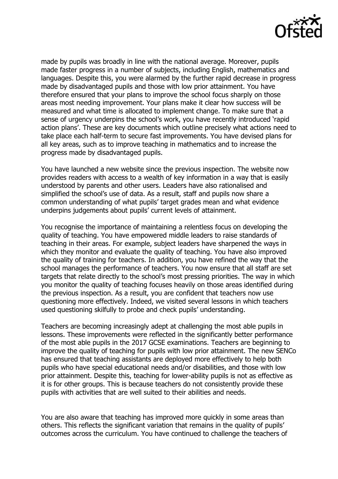

made by pupils was broadly in line with the national average. Moreover, pupils made faster progress in a number of subjects, including English, mathematics and languages. Despite this, you were alarmed by the further rapid decrease in progress made by disadvantaged pupils and those with low prior attainment. You have therefore ensured that your plans to improve the school focus sharply on those areas most needing improvement. Your plans make it clear how success will be measured and what time is allocated to implement change. To make sure that a sense of urgency underpins the school's work, you have recently introduced 'rapid action plans'. These are key documents which outline precisely what actions need to take place each half-term to secure fast improvements. You have devised plans for all key areas, such as to improve teaching in mathematics and to increase the progress made by disadvantaged pupils.

You have launched a new website since the previous inspection. The website now provides readers with access to a wealth of key information in a way that is easily understood by parents and other users. Leaders have also rationalised and simplified the school's use of data. As a result, staff and pupils now share a common understanding of what pupils' target grades mean and what evidence underpins judgements about pupils' current levels of attainment.

You recognise the importance of maintaining a relentless focus on developing the quality of teaching. You have empowered middle leaders to raise standards of teaching in their areas. For example, subject leaders have sharpened the ways in which they monitor and evaluate the quality of teaching. You have also improved the quality of training for teachers. In addition, you have refined the way that the school manages the performance of teachers. You now ensure that all staff are set targets that relate directly to the school's most pressing priorities. The way in which you monitor the quality of teaching focuses heavily on those areas identified during the previous inspection. As a result, you are confident that teachers now use questioning more effectively. Indeed, we visited several lessons in which teachers used questioning skilfully to probe and check pupils' understanding.

Teachers are becoming increasingly adept at challenging the most able pupils in lessons. These improvements were reflected in the significantly better performance of the most able pupils in the 2017 GCSE examinations. Teachers are beginning to improve the quality of teaching for pupils with low prior attainment. The new SENCo has ensured that teaching assistants are deployed more effectively to help both pupils who have special educational needs and/or disabilities, and those with low prior attainment. Despite this, teaching for lower-ability pupils is not as effective as it is for other groups. This is because teachers do not consistently provide these pupils with activities that are well suited to their abilities and needs.

You are also aware that teaching has improved more quickly in some areas than others. This reflects the significant variation that remains in the quality of pupils' outcomes across the curriculum. You have continued to challenge the teachers of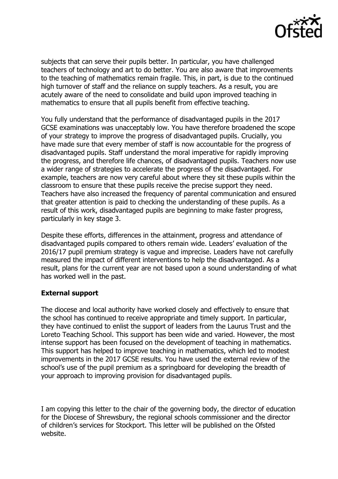

subjects that can serve their pupils better. In particular, you have challenged teachers of technology and art to do better. You are also aware that improvements to the teaching of mathematics remain fragile. This, in part, is due to the continued high turnover of staff and the reliance on supply teachers. As a result, you are acutely aware of the need to consolidate and build upon improved teaching in mathematics to ensure that all pupils benefit from effective teaching.

You fully understand that the performance of disadvantaged pupils in the 2017 GCSE examinations was unacceptably low. You have therefore broadened the scope of your strategy to improve the progress of disadvantaged pupils. Crucially, you have made sure that every member of staff is now accountable for the progress of disadvantaged pupils. Staff understand the moral imperative for rapidly improving the progress, and therefore life chances, of disadvantaged pupils. Teachers now use a wider range of strategies to accelerate the progress of the disadvantaged. For example, teachers are now very careful about where they sit these pupils within the classroom to ensure that these pupils receive the precise support they need. Teachers have also increased the frequency of parental communication and ensured that greater attention is paid to checking the understanding of these pupils. As a result of this work, disadvantaged pupils are beginning to make faster progress, particularly in key stage 3.

Despite these efforts, differences in the attainment, progress and attendance of disadvantaged pupils compared to others remain wide. Leaders' evaluation of the 2016/17 pupil premium strategy is vague and imprecise. Leaders have not carefully measured the impact of different interventions to help the disadvantaged. As a result, plans for the current year are not based upon a sound understanding of what has worked well in the past.

### **External support**

The diocese and local authority have worked closely and effectively to ensure that the school has continued to receive appropriate and timely support. In particular, they have continued to enlist the support of leaders from the Laurus Trust and the Loreto Teaching School. This support has been wide and varied. However, the most intense support has been focused on the development of teaching in mathematics. This support has helped to improve teaching in mathematics, which led to modest improvements in the 2017 GCSE results. You have used the external review of the school's use of the pupil premium as a springboard for developing the breadth of your approach to improving provision for disadvantaged pupils.

I am copying this letter to the chair of the governing body, the director of education for the Diocese of Shrewsbury, the regional schools commissioner and the director of children's services for Stockport. This letter will be published on the Ofsted website.